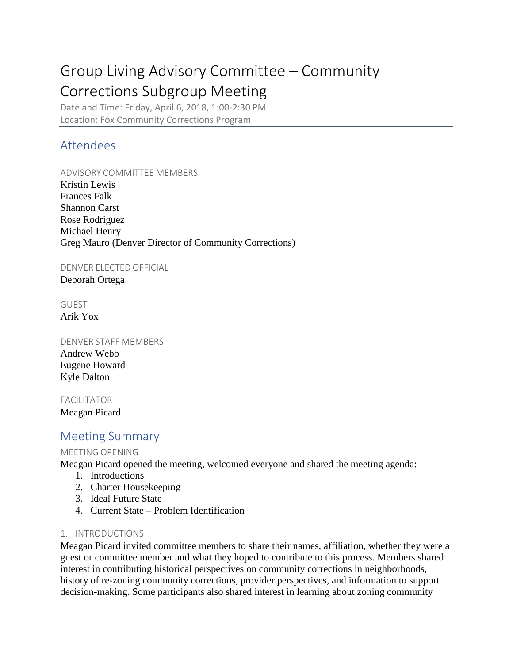# Group Living Advisory Committee – Community Corrections Subgroup Meeting

Date and Time: Friday, April 6, 2018, 1:00-2:30 PM Location: Fox Community Corrections Program

## Attendees

## ADVISORY COMMITTEE MEMBERS

Kristin Lewis Frances Falk Shannon Carst Rose Rodriguez Michael Henry Greg Mauro (Denver Director of Community Corrections)

### DENVER ELECTED OFFICIAL

Deborah Ortega

# GUEST

Arik Yox

#### DENVER STAFF MEMBERS

Andrew Webb Eugene Howard Kyle Dalton

FACILITATOR Meagan Picard

# Meeting Summary

### MEETING OPENING

Meagan Picard opened the meeting, welcomed everyone and shared the meeting agenda:

- 1. Introductions
- 2. Charter Housekeeping
- 3. Ideal Future State
- 4. Current State Problem Identification

### 1. INTRODUCTIONS

Meagan Picard invited committee members to share their names, affiliation, whether they were a guest or committee member and what they hoped to contribute to this process. Members shared interest in contributing historical perspectives on community corrections in neighborhoods, history of re-zoning community corrections, provider perspectives, and information to support decision-making. Some participants also shared interest in learning about zoning community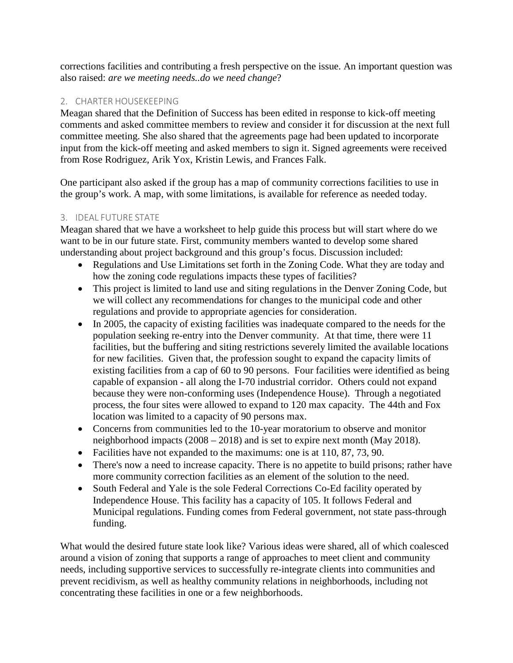corrections facilities and contributing a fresh perspective on the issue. An important question was also raised: *are we meeting needs..do we need change*?

#### 2. CHARTER HOUSEKEEPING

Meagan shared that the Definition of Success has been edited in response to kick-off meeting comments and asked committee members to review and consider it for discussion at the next full committee meeting. She also shared that the agreements page had been updated to incorporate input from the kick-off meeting and asked members to sign it. Signed agreements were received from Rose Rodriguez, Arik Yox, Kristin Lewis, and Frances Falk.

One participant also asked if the group has a map of community corrections facilities to use in the group's work. A map, with some limitations, is available for reference as needed today.

#### 3. IDEAL FUTURE STATE

Meagan shared that we have a worksheet to help guide this process but will start where do we want to be in our future state. First, community members wanted to develop some shared understanding about project background and this group's focus. Discussion included:

- Regulations and Use Limitations set forth in the Zoning Code. What they are today and how the zoning code regulations impacts these types of facilities?
- This project is limited to land use and siting regulations in the Denver Zoning Code, but we will collect any recommendations for changes to the municipal code and other regulations and provide to appropriate agencies for consideration.
- In 2005, the capacity of existing facilities was inadequate compared to the needs for the population seeking re-entry into the Denver community. At that time, there were 11 facilities, but the buffering and siting restrictions severely limited the available locations for new facilities. Given that, the profession sought to expand the capacity limits of existing facilities from a cap of 60 to 90 persons. Four facilities were identified as being capable of expansion - all along the I-70 industrial corridor. Others could not expand because they were non-conforming uses (Independence House). Through a negotiated process, the four sites were allowed to expand to 120 max capacity. The 44th and Fox location was limited to a capacity of 90 persons max.
- Concerns from communities led to the 10-year moratorium to observe and monitor neighborhood impacts (2008 – 2018) and is set to expire next month (May 2018).
- Facilities have not expanded to the maximums: one is at 110, 87, 73, 90.
- There's now a need to increase capacity. There is no appetite to build prisons; rather have more community correction facilities as an element of the solution to the need.
- South Federal and Yale is the sole Federal Corrections Co-Ed facility operated by Independence House. This facility has a capacity of 105. It follows Federal and Municipal regulations. Funding comes from Federal government, not state pass-through funding.

What would the desired future state look like? Various ideas were shared, all of which coalesced around a vision of zoning that supports a range of approaches to meet client and community needs, including supportive services to successfully re-integrate clients into communities and prevent recidivism, as well as healthy community relations in neighborhoods, including not concentrating these facilities in one or a few neighborhoods.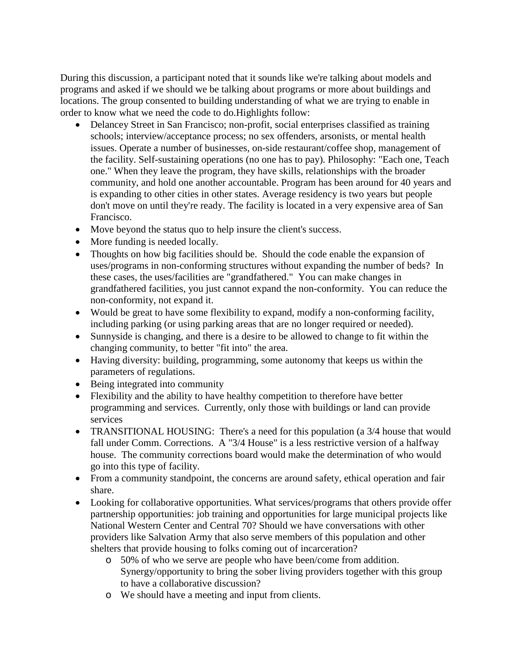During this discussion, a participant noted that it sounds like we're talking about models and programs and asked if we should we be talking about programs or more about buildings and locations. The group consented to building understanding of what we are trying to enable in order to know what we need the code to do.Highlights follow:

- Delancey Street in San Francisco; non-profit, social enterprises classified as training schools; interview/acceptance process; no sex offenders, arsonists, or mental health issues. Operate a number of businesses, on-side restaurant/coffee shop, management of the facility. Self-sustaining operations (no one has to pay). Philosophy: "Each one, Teach one." When they leave the program, they have skills, relationships with the broader community, and hold one another accountable. Program has been around for 40 years and is expanding to other cities in other states. Average residency is two years but people don't move on until they're ready. The facility is located in a very expensive area of San Francisco.
- Move beyond the status quo to help insure the client's success.
- More funding is needed locally.
- Thoughts on how big facilities should be. Should the code enable the expansion of uses/programs in non-conforming structures without expanding the number of beds? In these cases, the uses/facilities are "grandfathered." You can make changes in grandfathered facilities, you just cannot expand the non-conformity. You can reduce the non-conformity, not expand it.
- Would be great to have some flexibility to expand, modify a non-conforming facility, including parking (or using parking areas that are no longer required or needed).
- Sunnyside is changing, and there is a desire to be allowed to change to fit within the changing community, to better "fit into" the area.
- Having diversity: building, programming, some autonomy that keeps us within the parameters of regulations.
- Being integrated into community
- Flexibility and the ability to have healthy competition to therefore have better programming and services. Currently, only those with buildings or land can provide services
- TRANSITIONAL HOUSING: There's a need for this population (a 3/4 house that would fall under Comm. Corrections. A "3/4 House" is a less restrictive version of a halfway house. The community corrections board would make the determination of who would go into this type of facility.
- From a community standpoint, the concerns are around safety, ethical operation and fair share.
- Looking for collaborative opportunities. What services/programs that others provide offer partnership opportunities: job training and opportunities for large municipal projects like National Western Center and Central 70? Should we have conversations with other providers like Salvation Army that also serve members of this population and other shelters that provide housing to folks coming out of incarceration?
	- o 50% of who we serve are people who have been/come from addition. Synergy/opportunity to bring the sober living providers together with this group to have a collaborative discussion?
	- o We should have a meeting and input from clients.